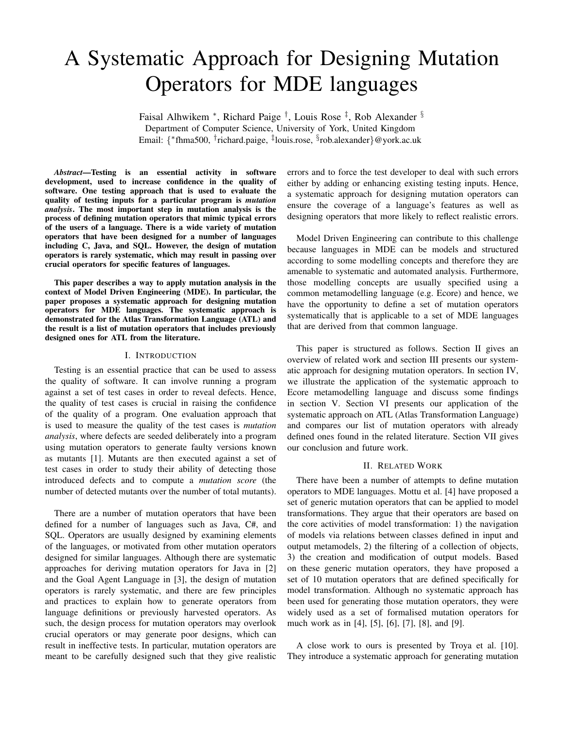# A Systematic Approach for Designing Mutation Operators for MDE languages

Faisal Alhwikem \*, Richard Paige <sup>†</sup>, Louis Rose <sup>‡</sup>, Rob Alexander <sup>§</sup> Department of Computer Science, University of York, United Kingdom Email: { ∗ fhma500, † richard.paige, ‡ louis.rose, § rob.alexander}@york.ac.uk

*Abstract*—Testing is an essential activity in software development, used to increase confidence in the quality of software. One testing approach that is used to evaluate the quality of testing inputs for a particular program is *mutation analysis*. The most important step in mutation analysis is the process of defining mutation operators that mimic typical errors of the users of a language. There is a wide variety of mutation operators that have been designed for a number of languages including C, Java, and SQL. However, the design of mutation operators is rarely systematic, which may result in passing over crucial operators for specific features of languages.

This paper describes a way to apply mutation analysis in the context of Model Driven Engineering (MDE). In particular, the paper proposes a systematic approach for designing mutation operators for MDE languages. The systematic approach is demonstrated for the Atlas Transformation Language (ATL) and the result is a list of mutation operators that includes previously designed ones for ATL from the literature.

#### I. INTRODUCTION

Testing is an essential practice that can be used to assess the quality of software. It can involve running a program against a set of test cases in order to reveal defects. Hence, the quality of test cases is crucial in raising the confidence of the quality of a program. One evaluation approach that is used to measure the quality of the test cases is *mutation analysis*, where defects are seeded deliberately into a program using mutation operators to generate faulty versions known as mutants [\[1\]](#page-5-0). Mutants are then executed against a set of test cases in order to study their ability of detecting those introduced defects and to compute a *mutation score* (the number of detected mutants over the number of total mutants).

There are a number of mutation operators that have been defined for a number of languages such as Java, C#, and SQL. Operators are usually designed by examining elements of the languages, or motivated from other mutation operators designed for similar languages. Although there are systematic approaches for deriving mutation operators for Java in [\[2\]](#page-5-1) and the Goal Agent Language in [\[3\]](#page-5-2), the design of mutation operators is rarely systematic, and there are few principles and practices to explain how to generate operators from language definitions or previously harvested operators. As such, the design process for mutation operators may overlook crucial operators or may generate poor designs, which can result in ineffective tests. In particular, mutation operators are meant to be carefully designed such that they give realistic

errors and to force the test developer to deal with such errors either by adding or enhancing existing testing inputs. Hence, a systematic approach for designing mutation operators can ensure the coverage of a language's features as well as designing operators that more likely to reflect realistic errors.

Model Driven Engineering can contribute to this challenge because languages in MDE can be models and structured according to some modelling concepts and therefore they are amenable to systematic and automated analysis. Furthermore, those modelling concepts are usually specified using a common metamodelling language (e.g. Ecore) and hence, we have the opportunity to define a set of mutation operators systematically that is applicable to a set of MDE languages that are derived from that common language.

This paper is structured as follows. Section [II](#page-0-0) gives an overview of related work and section [III](#page-1-0) presents our systematic approach for designing mutation operators. In section [IV,](#page-1-1) we illustrate the application of the systematic approach to Ecore metamodelling language and discuss some findings in section [V.](#page-3-0) Section [VI](#page-4-0) presents our application of the systematic approach on ATL (Atlas Transformation Language) and compares our list of mutation operators with already defined ones found in the related literature. Section [VII](#page-5-3) gives our conclusion and future work.

#### II. RELATED WORK

<span id="page-0-0"></span>There have been a number of attempts to define mutation operators to MDE languages. Mottu et al. [\[4\]](#page-5-4) have proposed a set of generic mutation operators that can be applied to model transformations. They argue that their operators are based on the core activities of model transformation: 1) the navigation of models via relations between classes defined in input and output metamodels, 2) the filtering of a collection of objects, 3) the creation and modification of output models. Based on these generic mutation operators, they have proposed a set of 10 mutation operators that are defined specifically for model transformation. Although no systematic approach has been used for generating those mutation operators, they were widely used as a set of formalised mutation operators for much work as in [\[4\]](#page-5-4), [\[5\]](#page-5-5), [\[6\]](#page-5-6), [\[7\]](#page-5-7), [\[8\]](#page-5-8), and [\[9\]](#page-5-9).

A close work to ours is presented by Troya et al. [\[10\]](#page-5-10). They introduce a systematic approach for generating mutation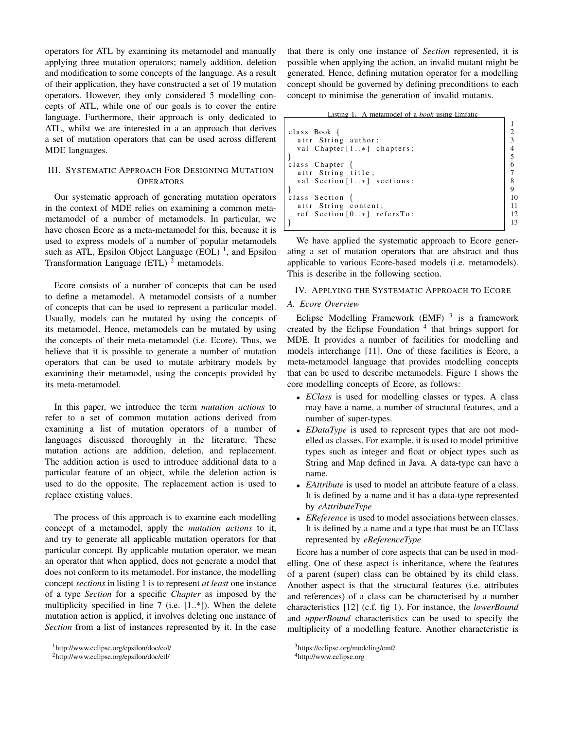operators for ATL by examining its metamodel and manually applying three mutation operators; namely addition, deletion and modification to some concepts of the language. As a result of their application, they have constructed a set of 19 mutation operators. However, they only considered 5 modelling concepts of ATL, while one of our goals is to cover the entire language. Furthermore, their approach is only dedicated to ATL, whilst we are interested in a an approach that derives a set of mutation operators that can be used across different MDE languages.

## <span id="page-1-0"></span>III. SYSTEMATIC APPROACH FOR DESIGNING MUTATION **OPERATORS**

Our systematic approach of generating mutation operators in the context of MDE relies on examining a common metametamodel of a number of metamodels. In particular, we have chosen Ecore as a meta-metamodel for this, because it is used to express models of a number of popular metamodels such as ATL, Epsilon Object Language  $(EOL)^{-1}$  $(EOL)^{-1}$  $(EOL)^{-1}$ , and Epsilon Transformation Language (ETL)  $<sup>2</sup>$  $<sup>2</sup>$  $<sup>2</sup>$  metamodels.</sup>

Ecore consists of a number of concepts that can be used to define a metamodel. A metamodel consists of a number of concepts that can be used to represent a particular model. Usually, models can be mutated by using the concepts of its metamodel. Hence, metamodels can be mutated by using the concepts of their meta-metamodel (i.e. Ecore). Thus, we believe that it is possible to generate a number of mutation operators that can be used to mutate arbitrary models by examining their metamodel, using the concepts provided by its meta-metamodel.

In this paper, we introduce the term *mutation actions* to refer to a set of common mutation actions derived from examining a list of mutation operators of a number of languages discussed thoroughly in the literature. These mutation actions are addition, deletion, and replacement. The addition action is used to introduce additional data to a particular feature of an object, while the deletion action is used to do the opposite. The replacement action is used to replace existing values.

The process of this approach is to examine each modelling concept of a metamodel, apply the *mutation actions* to it, and try to generate all applicable mutation operators for that particular concept. By applicable mutation operator, we mean an operator that when applied, does not generate a model that does not conform to its metamodel. For instance, the modelling concept *sections* in listing [1](#page-1-4) is to represent *at least* one instance of a type *Section* for a specific *Chapter* as imposed by the multiplicity specified in line 7 (i.e. [1..\*]). When the delete mutation action is applied, it involves deleting one instance of *Section* from a list of instances represented by it. In the case

that there is only one instance of *Section* represented, it is possible when applying the action, an invalid mutant might be generated. Hence, defining mutation operator for a modelling concept should be governed by defining preconditions to each concept to minimise the generation of invalid mutants.

Listing 1. A metamodel of a *book* using Emfatic

<span id="page-1-4"></span>

| INTHY                           |    |
|---------------------------------|----|
|                                 |    |
| class Book $\{$                 |    |
| attr String author;             |    |
| val Chapter $[1*]$ chapters;    |    |
|                                 |    |
| class Chapter $\{$              |    |
| attr String title;              |    |
| val Section $[1*]$ sections;    |    |
|                                 |    |
| class Section $\{$              | 10 |
| attr String content;            | 11 |
| ref Section $[0, *]$ refers To; | 12 |
|                                 |    |

We have applied the systematic approach to Ecore generating a set of mutation operators that are abstract and thus applicable to various Ecore-based models (i.e. metamodels). This is describe in the following section.

# <span id="page-1-1"></span>IV. APPLYING THE SYSTEMATIC APPROACH TO ECORE

# *A. Ecore Overview*

Eclipse Modelling Framework (EMF)  $3$  is a framework created by the Eclipse Foundation<sup>[4](#page-1-6)</sup> that brings support for MDE. It provides a number of facilities for modelling and models interchange [\[11\]](#page-5-11). One of these facilities is Ecore, a meta-metamodel language that provides modelling concepts that can be used to describe metamodels. Figure [1](#page-2-0) shows the core modelling concepts of Ecore, as follows:

- *EClass* is used for modelling classes or types. A class may have a name, a number of structural features, and a number of super-types.
- *EDataType* is used to represent types that are not modelled as classes. For example, it is used to model primitive types such as integer and float or object types such as String and Map defined in Java. A data-type can have a name.
- *EAttribute* is used to model an attribute feature of a class. It is defined by a name and it has a data-type represented by *eAttributeType*
- *EReference* is used to model associations between classes. It is defined by a name and a type that must be an EClass represented by *eReferenceType*

Ecore has a number of core aspects that can be used in modelling. One of these aspect is inheritance, where the features of a parent (super) class can be obtained by its child class. Another aspect is that the structural features (i.e. attributes and references) of a class can be characterised by a number characteristics [\[12\]](#page-5-12) (c.f. fig [1\)](#page-2-0). For instance, the *lowerBound* and *upperBound* characteristics can be used to specify the multiplicity of a modelling feature. Another characteristic is

<span id="page-1-2"></span><sup>1</sup><http://www.eclipse.org/epsilon/doc/eol/>

<span id="page-1-3"></span><sup>2</sup><http://www.eclipse.org/epsilon/doc/etl/>

<span id="page-1-5"></span><sup>3</sup><https://eclipse.org/modeling/emf/>

<span id="page-1-6"></span><sup>4</sup><http://www.eclipse.org>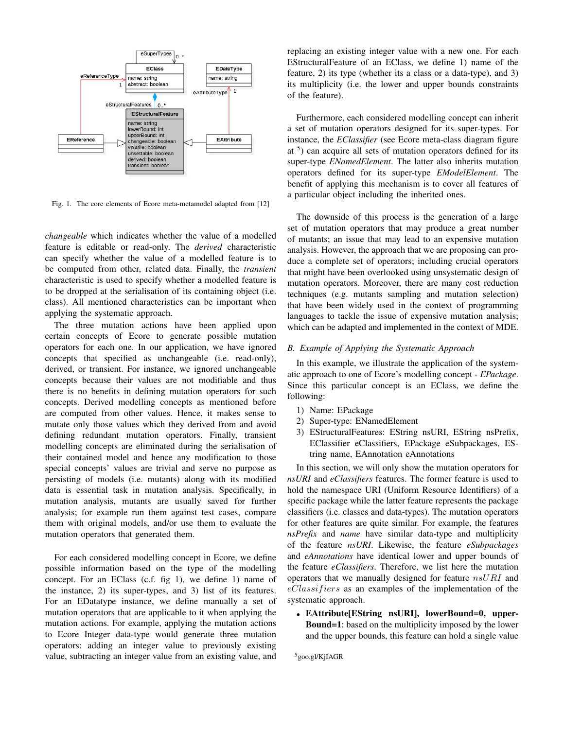

<span id="page-2-0"></span>Fig. 1. The core elements of Ecore meta-metamodel adapted from [\[12\]](#page-5-12)

*changeable* which indicates whether the value of a modelled feature is editable or read-only. The *derived* characteristic can specify whether the value of a modelled feature is to be computed from other, related data. Finally, the *transient* characteristic is used to specify whether a modelled feature is to be dropped at the serialisation of its containing object (i.e. class). All mentioned characteristics can be important when applying the systematic approach.

The three mutation actions have been applied upon certain concepts of Ecore to generate possible mutation operators for each one. In our application, we have ignored concepts that specified as unchangeable (i.e. read-only), derived, or transient. For instance, we ignored unchangeable concepts because their values are not modifiable and thus there is no benefits in defining mutation operators for such concepts. Derived modelling concepts as mentioned before are computed from other values. Hence, it makes sense to mutate only those values which they derived from and avoid defining redundant mutation operators. Finally, transient modelling concepts are eliminated during the serialisation of their contained model and hence any modification to those special concepts' values are trivial and serve no purpose as persisting of models (i.e. mutants) along with its modified data is essential task in mutation analysis. Specifically, in mutation analysis, mutants are usually saved for further analysis; for example run them against test cases, compare them with original models, and/or use them to evaluate the mutation operators that generated them.

For each considered modelling concept in Ecore, we define possible information based on the type of the modelling concept. For an EClass (c.f. fig [1\)](#page-2-0), we define 1) name of the instance, 2) its super-types, and 3) list of its features. For an EDatatype instance, we define manually a set of mutation operators that are applicable to it when applying the mutation actions. For example, applying the mutation actions to Ecore Integer data-type would generate three mutation operators: adding an integer value to previously existing value, subtracting an integer value from an existing value, and

replacing an existing integer value with a new one. For each EStructuralFeature of an EClass, we define 1) name of the feature, 2) its type (whether its a class or a data-type), and 3) its multiplicity (i.e. the lower and upper bounds constraints of the feature).

Furthermore, each considered modelling concept can inherit a set of mutation operators designed for its super-types. For instance, the *EClassifier* (see Ecore meta-class diagram figure at <sup>[5](#page-2-1)</sup>) can acquire all sets of mutation operators defined for its super-type *ENamedElement*. The latter also inherits mutation operators defined for its super-type *EModelElement*. The benefit of applying this mechanism is to cover all features of a particular object including the inherited ones.

The downside of this process is the generation of a large set of mutation operators that may produce a great number of mutants; an issue that may lead to an expensive mutation analysis. However, the approach that we are proposing can produce a complete set of operators; including crucial operators that might have been overlooked using unsystematic design of mutation operators. Moreover, there are many cost reduction techniques (e.g. mutants sampling and mutation selection) that have been widely used in the context of programming languages to tackle the issue of expensive mutation analysis; which can be adapted and implemented in the context of MDE.

#### *B. Example of Applying the Systematic Approach*

In this example, we illustrate the application of the systematic approach to one of Ecore's modelling concept - *EPackage*. Since this particular concept is an EClass, we define the following:

- 1) Name: EPackage
- 2) Super-type: ENamedElement
- 3) EStructuralFeatures: EString nsURI, EString nsPrefix, EClassifier eClassifiers, EPackage eSubpackages, EString name, EAnnotation eAnnotations

In this section, we will only show the mutation operators for *nsURI* and *eClassifiers* features. The former feature is used to hold the namespace URI (Uniform Resource Identifiers) of a specific package while the latter feature represents the package classifiers (i.e. classes and data-types). The mutation operators for other features are quite similar. For example, the features *nsPrefix* and *name* have similar data-type and multiplicity of the feature *nsURI*. Likewise, the feature *eSubpackages* and *eAnnotations* have identical lower and upper bounds of the feature *eClassifiers*. Therefore, we list here the mutation operators that we manually designed for feature nsURI and  $eClassifiers$  as an examples of the implementation of the systematic approach.

• EAttribute[EString nsURI], lowerBound=0, upper-Bound=1: based on the multiplicity imposed by the lower and the upper bounds, this feature can hold a single value

<span id="page-2-1"></span><sup>5</sup><goo.gl/KjIAGR>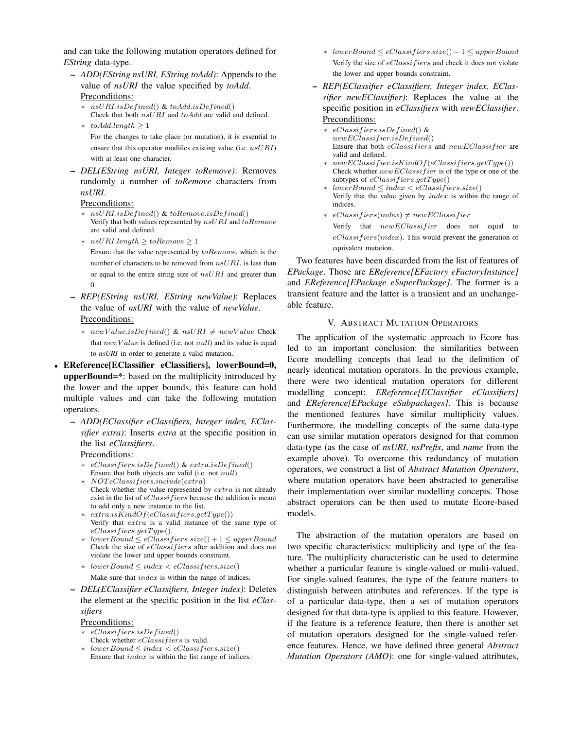and can take the following mutation operators defined for *EString* data-type.

- *ADD(EString nsURI, EString toAdd)*: Appends to the value of *nsURI* the value specified by *toAdd*. Preconditions:
	- $nsURI.isDefined()$  & toAdd.isDefined() Check that both  $nsURI$  and  $toAdd$  are valid and defined.
	- $\ast$  to Add.length  $\geq 1$ For the changes to take place (or mutation), it is essential to ensure that this operator modifies existing value (i.e. nsURI) with at least one character.
- *DEL(EString nsURI, Integer toRemove)*: Removes randomly a number of *toRemove* characters from *nsURI*.

#### Preconditions:

- nsURI.isDefined() & toRemove.isDefined() Verify that both values represented by  $nsURI$  and  $toRemove$ are valid and defined.
- ∗ nsURI.length ≥ toRemove ≥ 1

Ensure that the value represented by toRemove, which is the number of characters to be removed from  $nsURI$ , is less than or equal to the entire string size of  $nsURI$  and greater than 0.

- *REP(EString nsURI, EString newValue)*: Replaces the value of *nsURI* with the value of *newValue*. Preconditions:
	- ∗ newValue.isDefined() & nsURI  $≠$  newValue Check that  $newValue$  is defined (i.e. not null) and its value is equal to *nsURI* in order to generate a valid mutation.
- EReference[EClassifier eClassifiers], lowerBound=0, upperBound=\*: based on the multiplicity introduced by the lower and the upper bounds, this feature can hold multiple values and can take the following mutation operators.
	- *ADD(EClassifier eClassifiers, Integer index, EClassifier extra)*: Inserts *extra* at the specific position in the list *eClassifiers*.

#### Preconditions:

- $eClassifiers.isDefined()$  &  $extra.isDefined()$ Ensure that both objects are valid (i.e. not null).
- ∗ NOT eClassif iers.include(extra) Check whether the value represented by extra is not already exist in the list of  $eClassifiers$  because the addition is meant to add only a new instance to the list.
- $·$   $extra.isKindOf(eClassifiers.getType())$ Verify that extra is a valid instance of the same type of  $eClassifiers.getType()$ .
- ∗ lowerBound ≤ eClassif iers.size() + 1 ≤ upperBound Check the size of *eClassifiers* after addition and does not violate the lower and upper bounds constraint.
- ∗ lowerBound ≤ index < eClassif iers.size() Make sure that index is within the range of indices.
- *DEL(EClassifier eClassifiers, Integer index)*: Deletes the element at the specific position in the list *eClassifiers*

#### Preconditions:

- $eClassifiers.isDefined()$
- Check whether eClassifiers is valid.
- ∗ lowerBound ≤ index < eClassif iers.size() Ensure that  $index$  is within the list range of indices.
- ∗ lowerBound ≤ eClassif iers.size() − 1 ≤ upperBound Verify the size of *eClassifiers* and check it does not violate the lower and upper bounds constraint.
- *REP(EClassifier eClassifiers, Integer index, EClassifier newEClassifier)*: Replaces the value at the specific position in *eClassifiers* with *newEClassifier*. Preconditions:
	- ∗ eClassif iers.isDef ined() &  $newEClassifier.isDefined()$ Ensure that both  $eClassifiers$  and  $newEClassifier$  are valid and defined.
	- ∗ newEClassif ier.isKindOf(eClassif iers.getT ype()) Check whether  $newEClassifier$  is of the type or one of the subtypes of  $eClassifiers.getType()$
	- ∗ lowerBound ≤ index < eClassif iers.size()
	- Verify that the value given by  $index$  is within the range of indices.
	- $\text{*}$  eClassifiers(index)  $\neq newEClassifier$ 
		- Verify that  $newEClassifier$  does not equal to  $eClassifiers (index).$  This would prevent the generation of equivalent mutation.

Two features have been discarded from the list of features of *EPackage*. Those are *EReference[EFactory eFactoryInstance]* and *EReference[EPackage eSuperPackage]*. The former is a transient feature and the latter is a transient and an unchangeable feature.

#### V. ABSTRACT MUTATION OPERATORS

<span id="page-3-0"></span>The application of the systematic approach to Ecore has led to an important conclusion: the similarities between Ecore modelling concepts that lead to the definition of nearly identical mutation operators. In the previous example, there were two identical mutation operators for different modelling concept: *EReference[EClassifier eClassifiers]* and *EReference[EPackage eSubpackages]*. This is because the mentioned features have similar multiplicity values. Furthermore, the modelling concepts of the same data-type can use similar mutation operators designed for that common data-type (as the case of *nsURI*, *nsPrefix*, and *name* from the example above). To overcome this redundancy of mutation operators, we construct a list of *Abstract Mutation Operators*, where mutation operators have been abstracted to generalise their implementation over similar modelling concepts. Those abstract operators can be then used to mutate Ecore-based models.

The abstraction of the mutation operators are based on two specific characteristics: multiplicity and type of the feature. The multiplicity characteristic can be used to determine whether a particular feature is single-valued or multi-valued. For single-valued features, the type of the feature matters to distinguish between attributes and references. If the type is of a particular data-type, then a set of mutation operators designed for that data-type is applied to this feature. However, if the feature is a reference feature, then there is another set of mutation operators designed for the single-valued reference features. Hence, we have defined three general *Abstract Mutation Operators (AMO)*: one for single-valued attributes,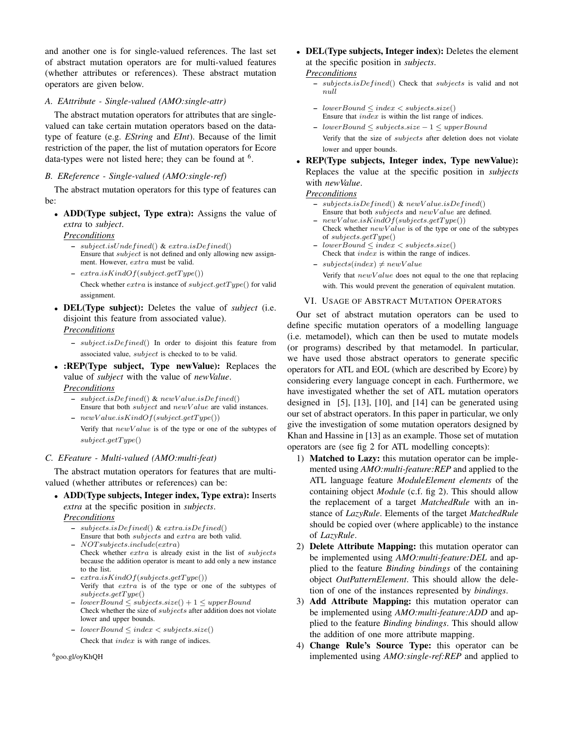and another one is for single-valued references. The last set of abstract mutation operators are for multi-valued features (whether attributes or references). These abstract mutation operators are given below.

## *A. EAttribute - Single-valued (AMO:single-attr)*

The abstract mutation operators for attributes that are singlevalued can take certain mutation operators based on the datatype of feature (e.g. *EString* and *EInt*). Because of the limit restriction of the paper, the list of mutation operators for Ecore data-types were not listed here; they can be found at <sup>[6](#page-4-1)</sup>.

## *B. EReference - Single-valued (AMO:single-ref)*

The abstract mutation operators for this type of features can be:

• ADD(Type subject, Type extra): Assigns the value of *extra* to *subject*.

*Preconditions*

- $-$  subject.isUndefined() & extra.isDefined() Ensure that subject is not defined and only allowing new assignment. However, extra must be valid.
- $-$  extra.isKindOf(subject.getType()) Check whether  $extra$  is instance of  $subject.getType()$  for valid assignment.
- DEL(Type subject): Deletes the value of *subject* (i.e. disjoint this feature from associated value). *Preconditions*
	- $-$  subject.isDefined() In order to disjoint this feature from associated value, *subject* is checked to to be valid.
- **:REP(Type subject, Type newValue):** Replaces the value of *subject* with the value of *newValue*. *Preconditions*
	- $-$  subject.isDefined() & newValue.isDefined() Ensure that both *subject* and  $newValue$  are valid instances.
	- $newValue.isKindOf(subject.getType())$

Verify that  $newValue$  is of the type or one of the subtypes of  $subject.getType()$ 

#### *C. EFeature - Multi-valued (AMO:multi-feat)*

The abstract mutation operators for features that are multivalued (whether attributes or references) can be:

• ADD(Type subjects, Integer index, Type extra): Inserts *extra* at the specific position in *subjects*.

#### *Preconditions*

- $-$  subjects.isDefined() & extra.isDefined()
- Ensure that both subjects and extra are both valid. – NOT subjects.include(extra) Check whether extra is already exist in the list of subjects because the addition operator is meant to add only a new instance
- to the list.  $extra.isKindOf(subjects.getType())$ Verify that extra is of the type or one of the subtypes of  $subjects.getType()$
- $lowerBound \leq subjects.size() + 1 \leq upperBound$ Check whether the size of subjects after addition does not violate lower and upper bounds.
- lowerBound ≤ index < subjects.size() Check that *index* is with range of indices.

<span id="page-4-1"></span><sup>6</sup><goo.gl/oyKhQH>

• DEL(Type subjects, Integer index): Deletes the element at the specific position in *subjects*.

#### *Preconditions*

- $subjects.isDefined()$  Check that subjects is valid and not null
- lowerBound ≤ index < subjects.size() Ensure that index is within the list range of indices.
- lowerBound ≤ subjects.size − 1 ≤ upperBound

Verify that the size of subjects after deletion does not violate lower and upper bounds.

• REP(Type subjects, Integer index, Type newValue): Replaces the value at the specific position in *subjects* with *newValue*.

## *Preconditions*

- $-$  subjects.isDefined() & newValue.isDefined() Ensure that both *subjects* and *newValue* are defined.
- $newValue.isKindOf(subjects.getType())$ Check whether  $newValue$  is of the type or one of the subtypes of  $subjectType()$
- lowerBound ≤ index < subjects.size() Check that  $in \overline{dex}$  is within the range of indices.
- $-$  subjects(index)  $\neq newValue$

Verify that  $newValue$  does not equal to the one that replacing with. This would prevent the generation of equivalent mutation.

#### VI. USAGE OF ABSTRACT MUTATION OPERATORS

<span id="page-4-0"></span>Our set of abstract mutation operators can be used to define specific mutation operators of a modelling language (i.e. metamodel), which can then be used to mutate models (or programs) described by that metamodel. In particular, we have used those abstract operators to generate specific operators for ATL and EOL (which are described by Ecore) by considering every language concept in each. Furthermore, we have investigated whether the set of ATL mutation operators designed in [\[5\]](#page-5-5), [\[13\]](#page-5-13), [\[10\]](#page-5-10), and [\[14\]](#page-5-14) can be generated using our set of abstract operators. In this paper in particular, we only give the investigation of some mutation operators designed by Khan and Hassine in [\[13\]](#page-5-13) as an example. Those set of mutation operators are (see fig [2](#page-5-15) for ATL modelling concepts):

- 1) Matched to Lazy: this mutation operator can be implemented using *AMO:multi-feature:REP* and applied to the ATL language feature *ModuleElement elements* of the containing object *Module* (c.f. fig [2\)](#page-5-15). This should allow the replacement of a target *MatchedRule* with an instance of *LazyRule*. Elements of the target *MatchedRule* should be copied over (where applicable) to the instance of *LazyRule*.
- 2) Delete Attribute Mapping: this mutation operator can be implemented using *AMO:multi-feature:DEL* and applied to the feature *Binding bindings* of the containing object *OutPatternElement*. This should allow the deletion of one of the instances represented by *bindings*.
- 3) Add Attribute Mapping: this mutation operator can be implemented using *AMO:multi-feature:ADD* and applied to the feature *Binding bindings*. This should allow the addition of one more attribute mapping.
- 4) Change Rule's Source Type: this operator can be implemented using *AMO:single-ref:REP* and applied to